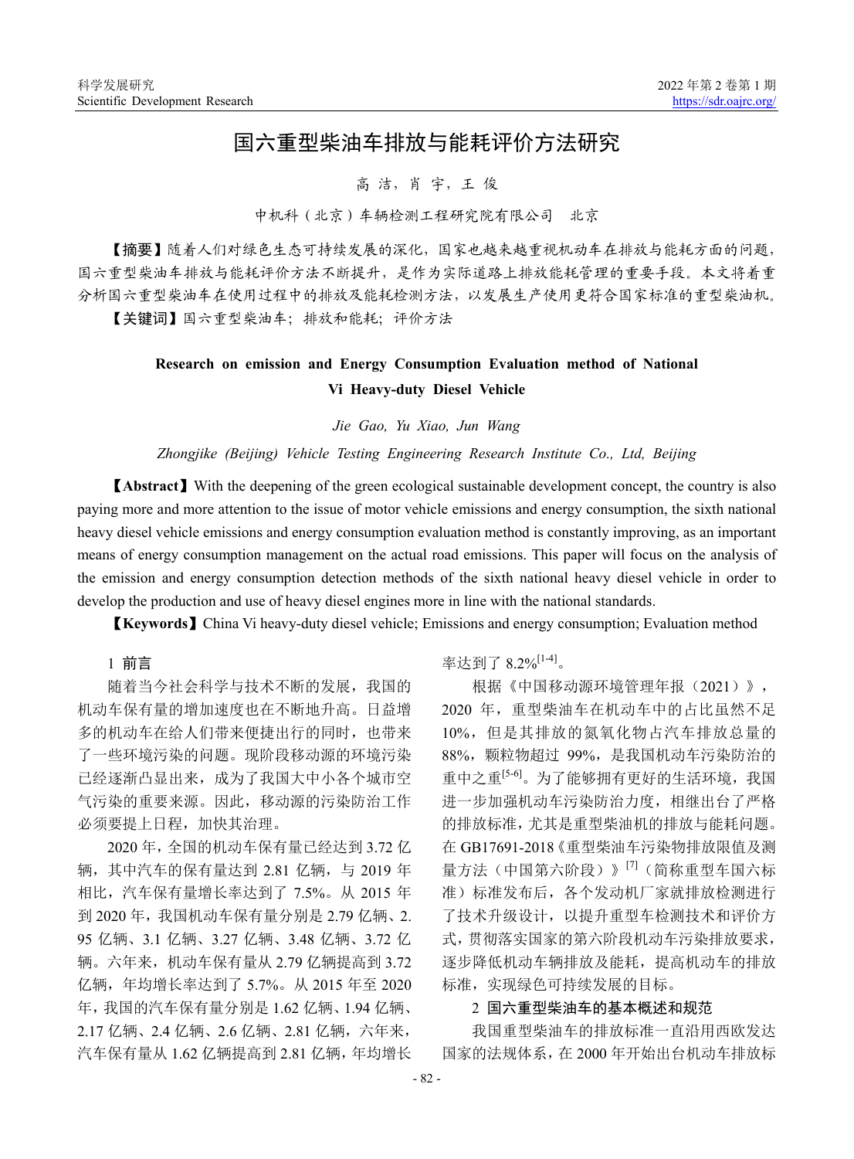# 国六重型柴油车排放与能耗评价方法研究

#### 高 洁,肖 宇,王 俊

中机科(北京)车辆检测工程研究院有限公司 北京

【摘要】随着人们对绿色生态可持续发展的深化,国家也越来越重视机动车在排放与能耗方面的问题, 国六重型柴油车排放与能耗评价方法不断提升,是作为实际道路上排放能耗管理的重要手段。本文将着重 分析国六重型柴油车在使用过程中的排放及能耗检测方法,以发展生产使用更符合国家标准的重型柴油机。 【关键词】国六重型柴油车;排放和能耗;评价方法

## **Research on emission and Energy Consumption Evaluation method of National Vi Heavy-duty Diesel Vehicle**

*Jie Gao, Yu Xiao, Jun Wang*

*Zhongjike (Beijing) Vehicle Testing Engineering Research Institute Co., Ltd, Beijing*

【**Abstract**】With the deepening of the green ecological sustainable development concept, the country is also paying more and more attention to the issue of motor vehicle emissions and energy consumption, the sixth national heavy diesel vehicle emissions and energy consumption evaluation method is constantly improving, as an important means of energy consumption management on the actual road emissions. This paper will focus on the analysis of the emission and energy consumption detection methods of the sixth national heavy diesel vehicle in order to develop the production and use of heavy diesel engines more in line with the national standards.

【**Keywords**】China Vi heavy-duty diesel vehicle; Emissions and energy consumption; Evaluation method

1 前言

随着当今社会科学与技术不断的发展,我国的 机动车保有量的增加速度也在不断地升高。日益增 多的机动车在给人们带来便捷出行的同时,也带来 了一些环境污染的问题。现阶段移动源的环境污染 已经逐渐凸显出来,成为了我国大中小各个城市空 气污染的重要来源。因此,移动源的污染防治工作 必须要提上日程,加快其治理。

2020 年,全国的机动车保有量已经达到 3.72 亿 辆,其中汽车的保有量达到 2.81 亿辆,与 2019 年 相比,汽车保有量增长率达到了 7.5%。从 2015 年 到 2020 年,我国机动车保有量分别是 2.79 亿辆、2. 95 亿辆、3.1 亿辆、3.27 亿辆、3.48 亿辆、3.72 亿 辆。六年来,机动车保有量从 2.79 亿辆提高到 3.72 亿辆,年均增长率达到了 5.7%。从 2015 年至 2020 年,我国的汽车保有量分别是 1.62 亿辆、1.94 亿辆、 2.17 亿辆、2.4 亿辆、2.6 亿辆、2.81 亿辆,六年来, 汽车保有量从 1.62 亿辆提高到 2.81 亿辆,年均增长

率达到了 8.2%<sup>[1-4]</sup>。

根据《中国移动源环境管理年报(2021)》, 2020 年,重型柴油车在机动车中的占比虽然不足 10%,但是其排放的氮氧化物占汽车排放总量的 88%,颗粒物超过 99%,是我国机动车污染防治的 重中之重[5-6]。为了能够拥有更好的生活环境,我国 进一步加强机动车污染防治力度,相继出台了严格 的排放标准,尤其是重型柴油机的排放与能耗问题。 在 GB17691-2018《重型柴油车污染物排放限值及测 量方法(中国第六阶段)》<sup>[7]</sup>(简称重型车国六标 准)标准发布后,各个发动机厂家就排放检测进行 了技术升级设计,以提升重型车检测技术和评价方 式,贯彻落实国家的第六阶段机动车污染排放要求, 逐步降低机动车辆排放及能耗,提高机动车的排放 标准,实现绿色可持续发展的目标。

#### 2 国六重型柴油车的基本概述和规范

我国重型柴油车的排放标准一直沿用西欧发达 国家的法规体系,在 2000 年开始出台机动车排放标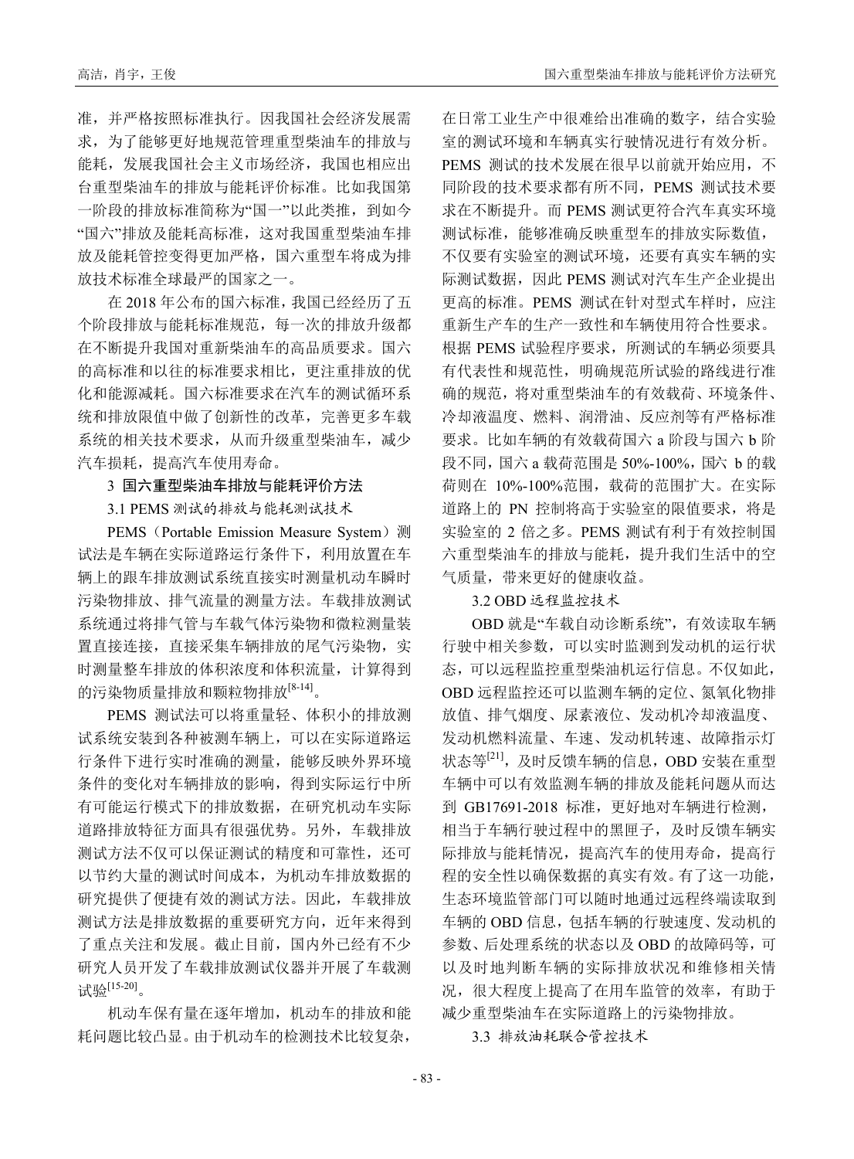准,并严格按照标准执行。因我国社会经济发展需 求,为了能够更好地规范管理重型柴油车的排放与 能耗,发展我国社会主义市场经济,我国也相应出 台重型柴油车的排放与能耗评价标准。比如我国第 一阶段的排放标准简称为"国一"以此类推,到如今 "国六"排放及能耗高标准,这对我国重型柴油车排 放及能耗管控变得更加严格,国六重型车将成为排 放技术标准全球最严的国家之一。

在 2018 年公布的国六标准,我国已经经历了五 个阶段排放与能耗标准规范,每一次的排放升级都 在不断提升我国对重新柴油车的高品质要求。国六 的高标准和以往的标准要求相比,更注重排放的优 化和能源减耗。国六标准要求在汽车的测试循环系 统和排放限值中做了创新性的改革,完善更多车载 系统的相关技术要求,从而升级重型柴油车,减少 汽车损耗,提高汽车使用寿命。

### 3 国六重型柴油车排放与能耗评价方法

3.1 PEMS 测试的排放与能耗测试技术

PEMS (Portable Emission Measure System) 测 试法是车辆在实际道路运行条件下,利用放置在车 辆上的跟车排放测试系统直接实时测量机动车瞬时 污染物排放、排气流量的测量方法。车载排放测试 系统通过将排气管与车载气体污染物和微粒测量装 置直接连接,直接采集车辆排放的尾气污染物,实 时测量整车排放的体积浓度和体积流量,计算得到 的污染物质量排放和颗粒物排放[8-14]。

PEMS 测试法可以将重量轻、体积小的排放测 试系统安装到各种被测车辆上,可以在实际道路运 行条件下进行实时准确的测量,能够反映外界环境 条件的变化对车辆排放的影响,得到实际运行中所 有可能运行模式下的排放数据,在研究机动车实际 道路排放特征方面具有很强优势。另外,车载排放 测试方法不仅可以保证测试的精度和可靠性,还可 以节约大量的测试时间成本,为机动车排放数据的 研究提供了便捷有效的测试方法。因此,车载排放 测试方法是排放数据的重要研究方向,近年来得到 了重点关注和发展。截止目前,国内外已经有不少 研究人员开发了车载排放测试仪器并开展了车载测 试验[15-20]。

机动车保有量在逐年增加,机动车的排放和能 耗问题比较凸显。由于机动车的检测技术比较复杂,

在日常工业生产中很难给出准确的数字,结合实验 室的测试环境和车辆真实行驶情况进行有效分析。 PEMS 测试的技术发展在很早以前就开始应用,不 同阶段的技术要求都有所不同,PEMS 测试技术要 求在不断提升。而 PEMS 测试更符合汽车真实环境 测试标准,能够准确反映重型车的排放实际数值, 不仅要有实验室的测试环境,还要有真实车辆的实 际测试数据,因此 PEMS 测试对汽车生产企业提出 更高的标准。PEMS 测试在针对型式车样时,应注 重新生产车的生产一致性和车辆使用符合性要求。 根据 PEMS 试验程序要求,所测试的车辆必须要具 有代表性和规范性,明确规范所试验的路线进行准 确的规范,将对重型柴油车的有效载荷、环境条件、 冷却液温度、燃料、润滑油、反应剂等有严格标准 要求。比如车辆的有效载荷国六 a 阶段与国六 b 阶 段不同,国六 a 载荷范围是 50%-100%, 国六 b 的载 荷则在 10%-100%范围,载荷的范围扩大。在实际 道路上的 PN 控制将高于实验室的限值要求,将是 实验室的 2 倍之多。PEMS 测试有利于有效控制国 六重型柴油车的排放与能耗,提升我们生活中的空 气质量,带来更好的健康收益。

#### 3.2 OBD 远程监控技术

OBD 就是"车载自动诊断系统",有效读取车辆 行驶中相关参数,可以实时监测到发动机的运行状 态,可以远程监控重型柴油机运行信息。不仅如此, OBD 远程监控还可以监测车辆的定位、氮氧化物排 放值、排气烟度、尿素液位、发动机冷却液温度、 发动机燃料流量、车速、发动机转速、故障指示灯 状态等<sup>[21]</sup>,及时反馈车辆的信息,OBD 安装在重型 车辆中可以有效监测车辆的排放及能耗问题从而达 到 GB17691-2018 标准, 更好地对车辆进行检测, 相当于车辆行驶过程中的黑匣子,及时反馈车辆实 际排放与能耗情况,提高汽车的使用寿命,提高行 程的安全性以确保数据的真实有效。有了这一功能, 生态环境监管部门可以随时地通过远程终端读取到 车辆的 OBD 信息,包括车辆的行驶速度、发动机的 参数、后处理系统的状态以及 OBD 的故障码等,可 以及时地判断车辆的实际排放状况和维修相关情 况,很大程度上提高了在用车监管的效率,有助于 减少重型柴油车在实际道路上的污染物排放。

3.3 排放油耗联合管控技术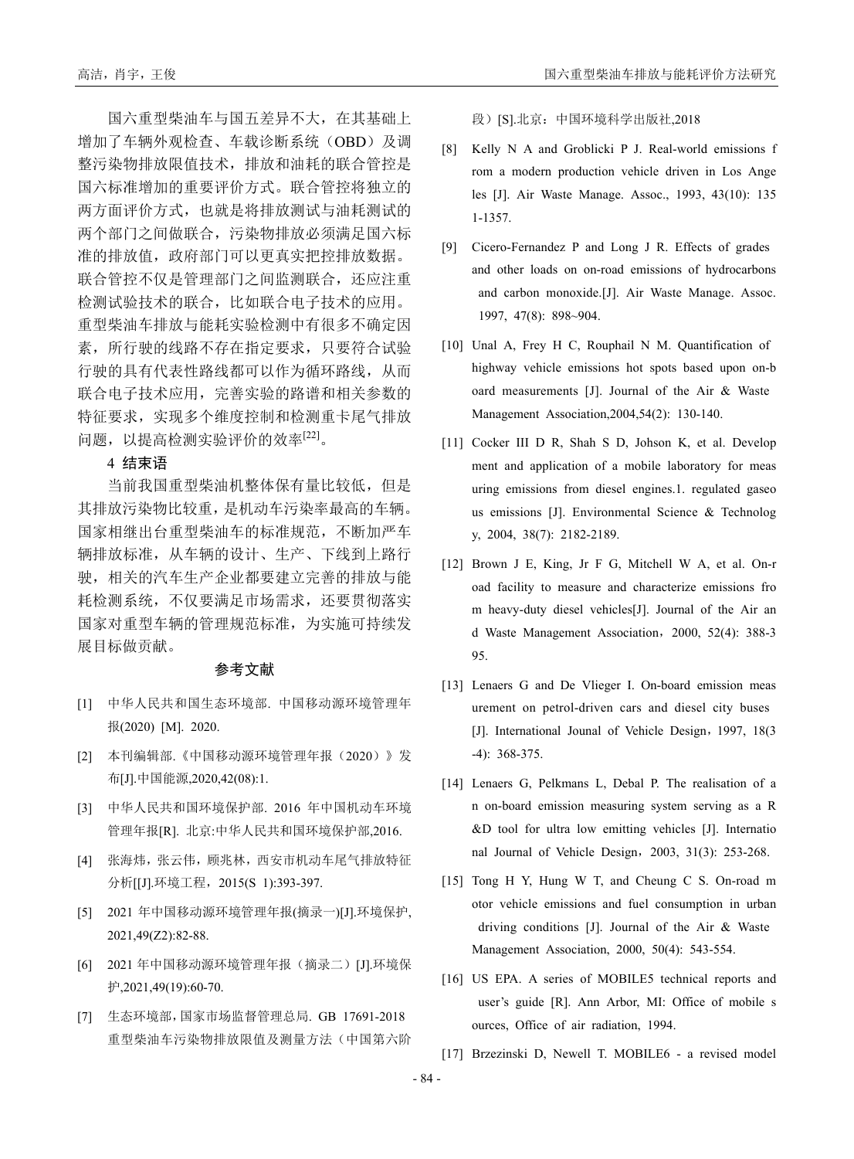国六重型柴油车与国五差异不大,在其基础上 增加了车辆外观检查、车载诊断系统(OBD)及调 整污染物排放限值技术,排放和油耗的联合管控是 国六标准增加的重要评价方式。联合管控将独立的 两方面评价方式,也就是将排放测试与油耗测试的 两个部门之间做联合,污染物排放必须满足国六标 准的排放值,政府部门可以更真实把控排放数据。 联合管控不仅是管理部门之间监测联合,还应注重 检测试验技术的联合,比如联合电子技术的应用。 重型柴油车排放与能耗实验检测中有很多不确定因 素,所行驶的线路不存在指定要求,只要符合试验 行驶的具有代表性路线都可以作为循环路线,从而 联合电子技术应用,完善实验的路谱和相关参数的

4 结束语

当前我国重型柴油机整体保有量比较低,但是 其排放污染物比较重,是机动车污染率最高的车辆。 国家相继出台重型柴油车的标准规范,不断加严车 辆排放标准,从车辆的设计、生产、下线到上路行 驶,相关的汽车生产企业都要建立完善的排放与能 耗检测系统,不仅要满足市场需求,还要贯彻落实 国家对重型车辆的管理规范标准,为实施可持续发 展目标做贡献。

特征要求,实现多个维度控制和检测重卡尾气排放

问题,以提高检测实验评价的效率[22]。

#### 参考文献

- [1] 中华人民共和国生态环境部. 中国移动源环境管理年 报(2020) [M]. 2020.
- [2] 本刊编辑部.《中国移动源环境管理年报(2020)》发 布[J].中国能源,2020,42(08):1.
- [3] 中华人民共和国环境保护部. 2016 年中国机动车环境 管理年报[R]. 北京:中华人民共和国环境保护部,2016.
- [4] 张海炜,张云伟, 顾兆林, 西安市机动车尾气排放特征 分析[[J].环境工程,2015(S 1):393-397.
- [5] 2021 年中国移动源环境管理年报(摘录一)[J].环境保护, 2021,49(Z2):82-88.
- [6] 2021 年中国移动源环境管理年报(摘录二)[J].环境保 护,2021,49(19):60-70.
- [7] 生态环境部,国家市场监督管理总局. GB 17691-2018 重型柴油车污染物排放限值及测量方法(中国第六阶

高洁,肖宇,王俊 国六重型华油车排放与能耗评价方法研究

段)[S].北京: 中国环境科学出版社,2018

- [8] Kelly N A and Groblicki P J. Real-world emissions f rom a modern production vehicle driven in Los Ange les [J]. Air Waste Manage. Assoc., 1993, 43(10): 135 1-1357.
- [9] Cicero-Fernandez P and Long J R. Effects of grades and other loads on on-road emissions of hydrocarbons and carbon monoxide.[J]. Air Waste Manage. Assoc. 1997, 47(8): 898~904.
- [10] Unal A, Frey H C, Rouphail N M. Quantification of highway vehicle emissions hot spots based upon on-b oard measurements [J]. Journal of the Air & Waste Management Association,2004,54(2): 130-140.
- [11] Cocker III D R, Shah S D, Johson K, et al. Develop ment and application of a mobile laboratory for meas uring emissions from diesel engines.1. regulated gaseo us emissions [J]. Environmental Science & Technolog y, 2004, 38(7): 2182-2189.
- [12] Brown J E, King, Jr F G, Mitchell W A, et al. On-r oad facility to measure and characterize emissions fro m heavy-duty diesel vehicles[J]. Journal of the Air an d Waste Management Association,2000, 52(4): 388-3 95.
- [13] Lenaers G and De Vlieger I. On-board emission meas urement on petrol-driven cars and diesel city buses [J]. International Jounal of Vehicle Design, 1997, 18(3) -4): 368-375.
- [14] Lenaers G, Pelkmans L, Debal P. The realisation of a n on-board emission measuring system serving as a R &D tool for ultra low emitting vehicles [J]. Internatio nal Journal of Vehicle Design,2003, 31(3): 253-268.
- [15] Tong H Y, Hung W T, and Cheung C S. On-road m otor vehicle emissions and fuel consumption in urban driving conditions [J]. Journal of the Air & Waste Management Association, 2000, 50(4): 543-554.
- [16] US EPA. A series of MOBILE5 technical reports and user's guide [R]. Ann Arbor, MI: Office of mobile s ources, Office of air radiation, 1994.
- [17] Brzezinski D, Newell T. MOBILE6 a revised model